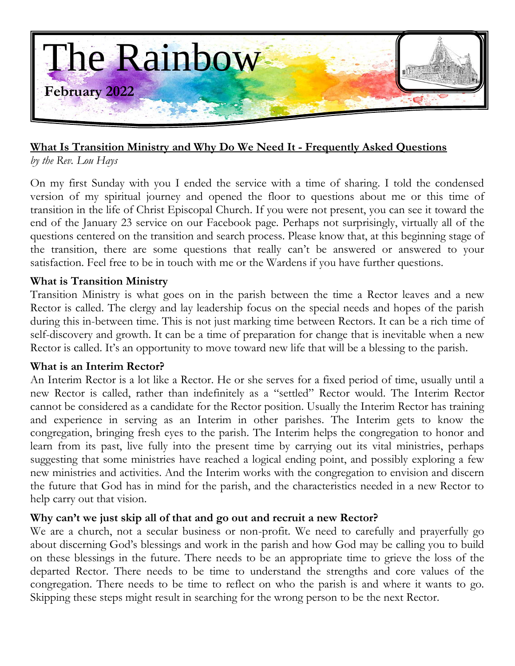

#### **What Is Transition Ministry and Why Do We Need It - Frequently Asked Questions**

*by the Rev. Lou Hays*

On my first Sunday with you I ended the service with a time of sharing. I told the condensed version of my spiritual journey and opened the floor to questions about me or this time of transition in the life of Christ Episcopal Church. If you were not present, you can see it toward the end of the January 23 service on our Facebook page. Perhaps not surprisingly, virtually all of the questions centered on the transition and search process. Please know that, at this beginning stage of the transition, there are some questions that really can't be answered or answered to your satisfaction. Feel free to be in touch with me or the Wardens if you have further questions.

#### **What is Transition Ministry**

Transition Ministry is what goes on in the parish between the time a Rector leaves and a new Rector is called. The clergy and lay leadership focus on the special needs and hopes of the parish during this in-between time. This is not just marking time between Rectors. It can be a rich time of self-discovery and growth. It can be a time of preparation for change that is inevitable when a new Rector is called. It's an opportunity to move toward new life that will be a blessing to the parish.

#### **What is an Interim Rector?**

An Interim Rector is a lot like a Rector. He or she serves for a fixed period of time, usually until a new Rector is called, rather than indefinitely as a "settled" Rector would. The Interim Rector cannot be considered as a candidate for the Rector position. Usually the Interim Rector has training and experience in serving as an Interim in other parishes. The Interim gets to know the congregation, bringing fresh eyes to the parish. The Interim helps the congregation to honor and learn from its past, live fully into the present time by carrying out its vital ministries, perhaps suggesting that some ministries have reached a logical ending point, and possibly exploring a few new ministries and activities. And the Interim works with the congregation to envision and discern the future that God has in mind for the parish, and the characteristics needed in a new Rector to help carry out that vision.

# Why can't we just skip all of that and go out and recruit a new Rector?

We are a church, not a secular business or non-profit. We need to carefully and prayerfully go about discerning God's blessings and work in the parish and how God may be calling you to build on these blessings in the future. There needs to be an appropriate time to grieve the loss of the departed Rector. There needs to be time to understand the strengths and core values of the congregation. There needs to be time to reflect on who the parish is and where it wants to go. Skipping these steps might result in searching for the wrong person to be the next Rector.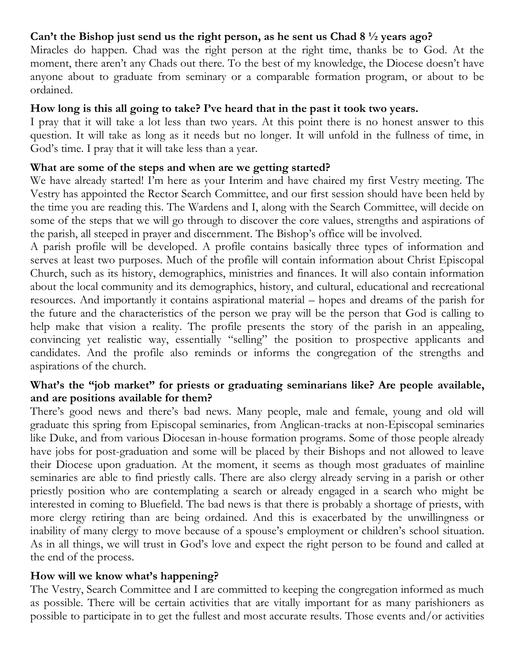#### **Can't the Bishop just send us the right person, as he sent us Chad 8 ½ years ago?**

Miracles do happen. Chad was the right person at the right time, thanks be to God. At the moment, there aren't any Chads out there. To the best of my knowledge, the Diocese doesn't have anyone about to graduate from seminary or a comparable formation program, or about to be ordained.

#### **How long is this all going to take? I've heard that in the past it took two years.**

I pray that it will take a lot less than two years. At this point there is no honest answer to this question. It will take as long as it needs but no longer. It will unfold in the fullness of time, in God's time. I pray that it will take less than a year.

#### **What are some of the steps and when are we getting started?**

We have already started! I'm here as your Interim and have chaired my first Vestry meeting. The Vestry has appointed the Rector Search Committee, and our first session should have been held by the time you are reading this. The Wardens and I, along with the Search Committee, will decide on some of the steps that we will go through to discover the core values, strengths and aspirations of the parish, all steeped in prayer and discernment. The Bishop's office will be involved.

A parish profile will be developed. A profile contains basically three types of information and serves at least two purposes. Much of the profile will contain information about Christ Episcopal Church, such as its history, demographics, ministries and finances. It will also contain information about the local community and its demographics, history, and cultural, educational and recreational resources. And importantly it contains aspirational material – hopes and dreams of the parish for the future and the characteristics of the person we pray will be the person that God is calling to help make that vision a reality. The profile presents the story of the parish in an appealing, convincing yet realistic way, essentially "selling" the position to prospective applicants and candidates. And the profile also reminds or informs the congregation of the strengths and aspirations of the church.

#### **What's the "job market" for priests or graduating seminarians like? Are people available, and are positions available for them?**

There's good news and there's bad news. Many people, male and female, young and old will graduate this spring from Episcopal seminaries, from Anglican-tracks at non-Episcopal seminaries like Duke, and from various Diocesan in-house formation programs. Some of those people already have jobs for post-graduation and some will be placed by their Bishops and not allowed to leave their Diocese upon graduation. At the moment, it seems as though most graduates of mainline seminaries are able to find priestly calls. There are also clergy already serving in a parish or other priestly position who are contemplating a search or already engaged in a search who might be interested in coming to Bluefield. The bad news is that there is probably a shortage of priests, with more clergy retiring than are being ordained. And this is exacerbated by the unwillingness or inability of many clergy to move because of a spouse's employment or children's school situation. As in all things, we will trust in God's love and expect the right person to be found and called at the end of the process.

#### **How will we know what's happening?**

The Vestry, Search Committee and I are committed to keeping the congregation informed as much as possible. There will be certain activities that are vitally important for as many parishioners as possible to participate in to get the fullest and most accurate results. Those events and/or activities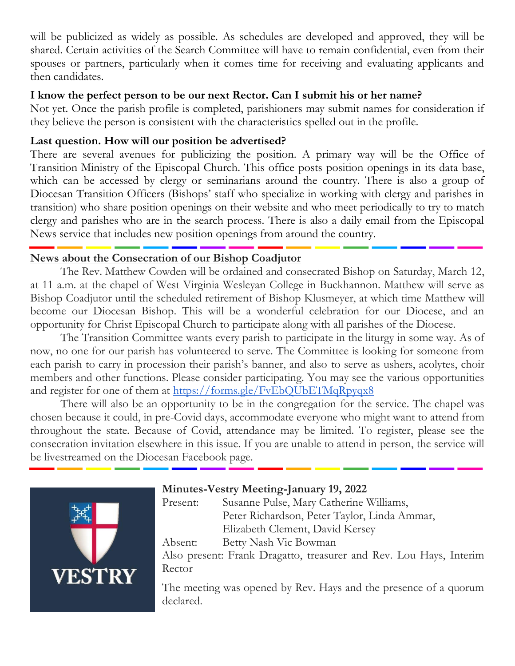will be publicized as widely as possible. As schedules are developed and approved, they will be shared. Certain activities of the Search Committee will have to remain confidential, even from their spouses or partners, particularly when it comes time for receiving and evaluating applicants and then candidates.

#### **I know the perfect person to be our next Rector. Can I submit his or her name?**

Not yet. Once the parish profile is completed, parishioners may submit names for consideration if they believe the person is consistent with the characteristics spelled out in the profile.

# **Last question. How will our position be advertised?**

There are several avenues for publicizing the position. A primary way will be the Office of Transition Ministry of the Episcopal Church. This office posts position openings in its data base, which can be accessed by clergy or seminarians around the country. There is also a group of Diocesan Transition Officers (Bishops' staff who specialize in working with clergy and parishes in transition) who share position openings on their website and who meet periodically to try to match clergy and parishes who are in the search process. There is also a daily email from the Episcopal News service that includes new position openings from around the country.

# **News about the Consecration of our Bishop Coadjutor**

The Rev. Matthew Cowden will be ordained and consecrated Bishop on Saturday, March 12, at 11 a.m. at the chapel of West Virginia Wesleyan College in Buckhannon. Matthew will serve as Bishop Coadjutor until the scheduled retirement of Bishop Klusmeyer, at which time Matthew will become our Diocesan Bishop. This will be a wonderful celebration for our Diocese, and an opportunity for Christ Episcopal Church to participate along with all parishes of the Diocese.

The Transition Committee wants every parish to participate in the liturgy in some way. As of now, no one for our parish has volunteered to serve. The Committee is looking for someone from each parish to carry in procession their parish's banner, and also to serve as ushers, acolytes, choir members and other functions. Please consider participating. You may see the various opportunities and register for one of them at<https://forms.gle/FvEbQUbETMqRpyqx8>

There will also be an opportunity to be in the congregation for the service. The chapel was chosen because it could, in pre-Covid days, accommodate everyone who might want to attend from throughout the state. Because of Covid, attendance may be limited. To register, please see the consecration invitation elsewhere in this issue. If you are unable to attend in person, the service will be livestreamed on the Diocesan Facebook page.



# **Minutes-Vestry Meeting-January 19, 2022**

Present: Susanne Pulse, Mary Catherine Williams, Peter Richardson, Peter Taylor, Linda Ammar, Elizabeth Clement, David Kersey Absent: Betty Nash Vic Bowman Also present: Frank Dragatto, treasurer and Rev. Lou Hays, Interim Rector

The meeting was opened by Rev. Hays and the presence of a quorum declared.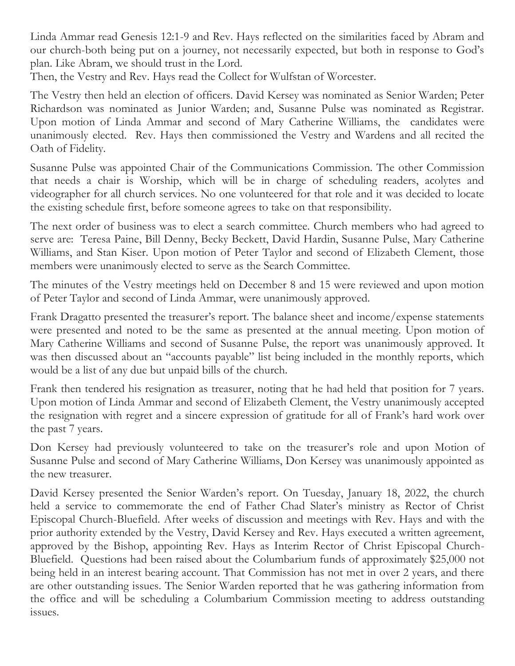Linda Ammar read Genesis 12:1-9 and Rev. Hays reflected on the similarities faced by Abram and our church-both being put on a journey, not necessarily expected, but both in response to God's plan. Like Abram, we should trust in the Lord.

Then, the Vestry and Rev. Hays read the Collect for Wulfstan of Worcester.

The Vestry then held an election of officers. David Kersey was nominated as Senior Warden; Peter Richardson was nominated as Junior Warden; and, Susanne Pulse was nominated as Registrar. Upon motion of Linda Ammar and second of Mary Catherine Williams, the candidates were unanimously elected. Rev. Hays then commissioned the Vestry and Wardens and all recited the Oath of Fidelity.

Susanne Pulse was appointed Chair of the Communications Commission. The other Commission that needs a chair is Worship, which will be in charge of scheduling readers, acolytes and videographer for all church services. No one volunteered for that role and it was decided to locate the existing schedule first, before someone agrees to take on that responsibility.

The next order of business was to elect a search committee. Church members who had agreed to serve are: Teresa Paine, Bill Denny, Becky Beckett, David Hardin, Susanne Pulse, Mary Catherine Williams, and Stan Kiser. Upon motion of Peter Taylor and second of Elizabeth Clement, those members were unanimously elected to serve as the Search Committee.

The minutes of the Vestry meetings held on December 8 and 15 were reviewed and upon motion of Peter Taylor and second of Linda Ammar, were unanimously approved.

Frank Dragatto presented the treasurer's report. The balance sheet and income/expense statements were presented and noted to be the same as presented at the annual meeting. Upon motion of Mary Catherine Williams and second of Susanne Pulse, the report was unanimously approved. It was then discussed about an "accounts payable" list being included in the monthly reports, which would be a list of any due but unpaid bills of the church.

Frank then tendered his resignation as treasurer, noting that he had held that position for 7 years. Upon motion of Linda Ammar and second of Elizabeth Clement, the Vestry unanimously accepted the resignation with regret and a sincere expression of gratitude for all of Frank's hard work over the past 7 years.

Don Kersey had previously volunteered to take on the treasurer's role and upon Motion of Susanne Pulse and second of Mary Catherine Williams, Don Kersey was unanimously appointed as the new treasurer.

David Kersey presented the Senior Warden's report. On Tuesday, January 18, 2022, the church held a service to commemorate the end of Father Chad Slater's ministry as Rector of Christ Episcopal Church-Bluefield. After weeks of discussion and meetings with Rev. Hays and with the prior authority extended by the Vestry, David Kersey and Rev. Hays executed a written agreement, approved by the Bishop, appointing Rev. Hays as Interim Rector of Christ Episcopal Church-Bluefield. Questions had been raised about the Columbarium funds of approximately \$25,000 not being held in an interest bearing account. That Commission has not met in over 2 years, and there are other outstanding issues. The Senior Warden reported that he was gathering information from the office and will be scheduling a Columbarium Commission meeting to address outstanding issues.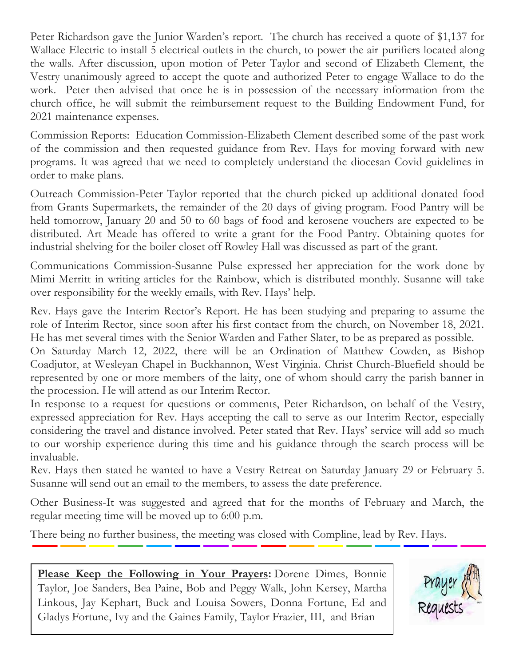Peter Richardson gave the Junior Warden's report. The church has received a quote of \$1,137 for Wallace Electric to install 5 electrical outlets in the church, to power the air purifiers located along the walls. After discussion, upon motion of Peter Taylor and second of Elizabeth Clement, the Vestry unanimously agreed to accept the quote and authorized Peter to engage Wallace to do the work. Peter then advised that once he is in possession of the necessary information from the church office, he will submit the reimbursement request to the Building Endowment Fund, for 2021 maintenance expenses.

Commission Reports: Education Commission-Elizabeth Clement described some of the past work of the commission and then requested guidance from Rev. Hays for moving forward with new programs. It was agreed that we need to completely understand the diocesan Covid guidelines in order to make plans.

Outreach Commission-Peter Taylor reported that the church picked up additional donated food from Grants Supermarkets, the remainder of the 20 days of giving program. Food Pantry will be held tomorrow, January 20 and 50 to 60 bags of food and kerosene vouchers are expected to be distributed. Art Meade has offered to write a grant for the Food Pantry. Obtaining quotes for industrial shelving for the boiler closet off Rowley Hall was discussed as part of the grant.

Communications Commission-Susanne Pulse expressed her appreciation for the work done by Mimi Merritt in writing articles for the Rainbow, which is distributed monthly. Susanne will take over responsibility for the weekly emails, with Rev. Hays' help.

Rev. Hays gave the Interim Rector's Report. He has been studying and preparing to assume the role of Interim Rector, since soon after his first contact from the church, on November 18, 2021. He has met several times with the Senior Warden and Father Slater, to be as prepared as possible.

On Saturday March 12, 2022, there will be an Ordination of Matthew Cowden, as Bishop Coadjutor, at Wesleyan Chapel in Buckhannon, West Virginia. Christ Church-Bluefield should be represented by one or more members of the laity, one of whom should carry the parish banner in the procession. He will attend as our Interim Rector.

In response to a request for questions or comments, Peter Richardson, on behalf of the Vestry, expressed appreciation for Rev. Hays accepting the call to serve as our Interim Rector, especially considering the travel and distance involved. Peter stated that Rev. Hays' service will add so much to our worship experience during this time and his guidance through the search process will be invaluable.

Rev. Hays then stated he wanted to have a Vestry Retreat on Saturday January 29 or February 5. Susanne will send out an email to the members, to assess the date preference.

Other Business-It was suggested and agreed that for the months of February and March, the regular meeting time will be moved up to 6:00 p.m.

There being no further business, the meeting was closed with Compline, lead by Rev. Hays.

**Please Keep the Following in Your Prayers:** Dorene Dimes, Bonnie Taylor, Joe Sanders, Bea Paine, Bob and Peggy Walk, John Kersey, Martha Linkous, Jay Kephart, Buck and Louisa Sowers, Donna Fortune, Ed and Gladys Fortune, Ivy and the Gaines Family, Taylor Frazier, III, and Brian

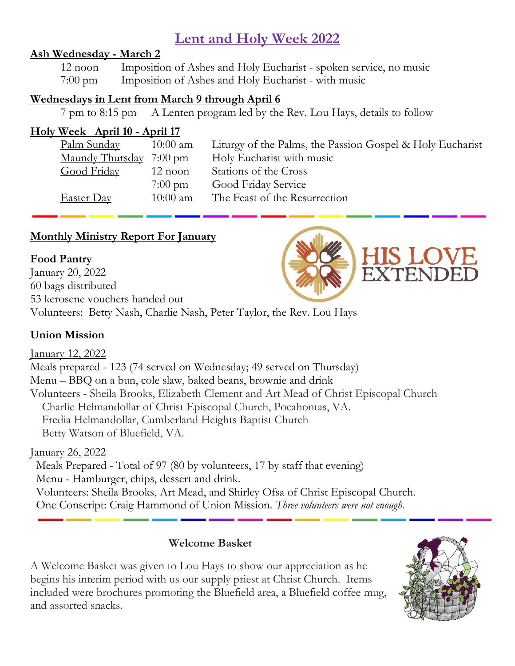# **Lent and Holy Week 2022**

#### **Ash Wednesday - March 2**

12 noon Imposition of Ashes and Holy Eucharist - spoken service, no music 7:00 pm Imposition of Ashes and Holy Eucharist - with music

#### **Wednesdays in Lent from March 9 through April 6**

7 pm to 8:15 pm A Lenten program led by the Rev. Lou Hays, details to follow

# **Holy Week April 10 - April 17**

| <u>Palm Sunday</u>             | $10:00$ am        | Liturgy of the Palms, the Passion Gospel & Holy Eucharist |
|--------------------------------|-------------------|-----------------------------------------------------------|
| <u>Maundy Thursday</u> 7:00 pm |                   | Holy Eucharist with music                                 |
| <b>Good Friday</b>             | $12$ noon         | Stations of the Cross                                     |
|                                | $7:00 \text{ pm}$ | <b>Good Friday Service</b>                                |
| <b>Easter Day</b>              | $10:00$ am        | The Feast of the Resurrection                             |
|                                |                   |                                                           |

# **Monthly Ministry Report For January**

#### **Food Pantry**

January 20, 2022 60 bags distributed 53 kerosene vouchers handed out Volunteers: Betty Nash, Charlie Nash, Peter Taylor, the Rev. Lou Hays

# **Union Mission**

# January 12, 2022

Meals prepared - 123 (74 served on Wednesday; 49 served on Thursday) Menu – BBQ on a bun, cole slaw, baked beans, brownie and drink Volunteers - Sheila Brooks, Elizabeth Clement and Art Mead of Christ Episcopal Church Charlie Helmandollar of Christ Episcopal Church, Pocahontas, VA. Fredia Helmandollar, Cumberland Heights Baptist Church Betty Watson of Bluefield, VA.

# January 26, 2022

Meals Prepared - Total of 97 (80 by volunteers, 17 by staff that evening) Menu - Hamburger, chips, dessert and drink. Volunteers: Sheila Brooks, Art Mead, and Shirley Ofsa of Christ Episcopal Church. One Conscript: Craig Hammond of Union Mission. *Three volunteers were not enough.*

#### **Welcome Basket**

A Welcome Basket was given to Lou Hays to show our appreciation as he begins his interim period with us our supply priest at Christ Church. Items included were brochures promoting the Bluefield area, a Bluefield coffee mug, and assorted snacks.

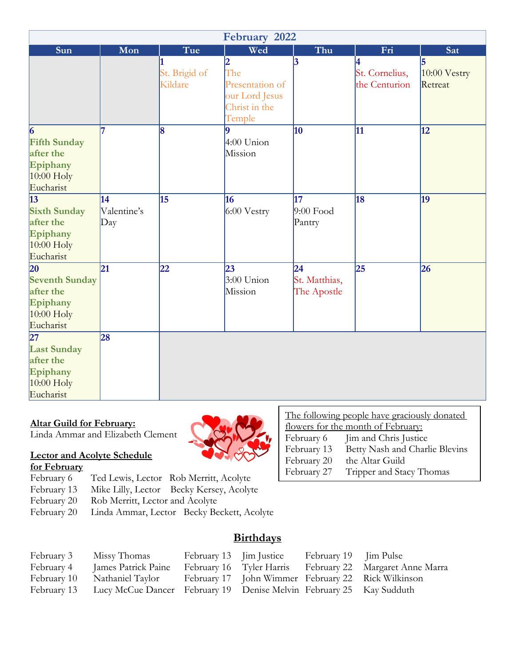| February 2022                                                                                |                             |                          |                                                                     |                                    |                                 |                                 |
|----------------------------------------------------------------------------------------------|-----------------------------|--------------------------|---------------------------------------------------------------------|------------------------------------|---------------------------------|---------------------------------|
| Sun                                                                                          | Mon                         | Tue                      | Wed                                                                 | Thu                                | Fri                             | Sat                             |
|                                                                                              |                             | St. Brigid of<br>Kildare | The<br>Presentation of<br>our Lord Jesus<br>Christ in the<br>Temple | $\vert 3 \vert$                    | St. Cornelius,<br>the Centurion | 15<br>$10:00$ Vestry<br>Retreat |
| $\vert 6 \vert$<br><b>Fifth Sunday</b><br>after the<br>Epiphany<br>$10:00$ Holy<br>Eucharist |                             | 8                        | Ι9<br>$4:00$ Union<br>Mission                                       | 10                                 | 11                              | 12                              |
| $\overline{13}$<br><b>Sixth Sunday</b><br>after the<br>Epiphany<br>$10:00$ Holy<br>Eucharist | 14<br>Valentine's<br>$\log$ | 15                       | 16<br>6:00 Vestry                                                   | 17<br>$9:00$ Food<br>Pantry        | 18                              | 19                              |
| 20<br><b>Seventh Sunday</b><br>after the<br>Epiphany<br>$10:00$ Holy<br>Eucharist            | 21                          | 22                       | 23<br>$3:00$ Union<br>Mission                                       | 24<br>St. Matthias,<br>The Apostle | 25                              | 26                              |
| $\overline{27}$<br><b>Last Sunday</b><br>after the<br>Epiphany<br>$10:00$ Holy<br>Eucharist  | 28                          |                          |                                                                     |                                    |                                 |                                 |

#### **Altar Guild for February:**

Linda Ammar and Elizabeth Clement

# **Lector and Acolyte Schedule**

# **for February**

- Ted Lewis, Lector Rob Merritt, Acolyte
- February 13 Mike Lilly, Lector Becky Kersey, Acolyte<br>February 20 Rob Merritt, Lector and Acolyte
- February 20 Rob Merritt, Lector and Acolyte<br>February 20 Linda Ammar, Lector Becky Be
- Linda Ammar, Lector Becky Beckett, Acolyte

# **Birthdays**

| February 3  | Missy Thomas                                                                    | February 13 Jim Justice | February 19 Jim Pulse |                                                          |
|-------------|---------------------------------------------------------------------------------|-------------------------|-----------------------|----------------------------------------------------------|
| February 4  | James Patrick Paine                                                             |                         |                       | February 16 Tyler Harris February 22 Margaret Anne Marra |
| February 10 | Nathaniel Taylor                                                                |                         |                       | February 17 John Wimmer February 22 Rick Wilkinson       |
|             | February 13 Lucy McCue Dancer February 19 Denise Melvin February 25 Kay Sudduth |                         |                       |                                                          |

| The following people have graciously donated |                                |  |
|----------------------------------------------|--------------------------------|--|
| flowers for the month of February:           |                                |  |
| February 6                                   | Jim and Chris Justice          |  |
| February 13                                  | Betty Nash and Charlie Blevins |  |
| February 20                                  | the Altar Guild                |  |
| February 27                                  | Tripper and Stacy Thomas       |  |